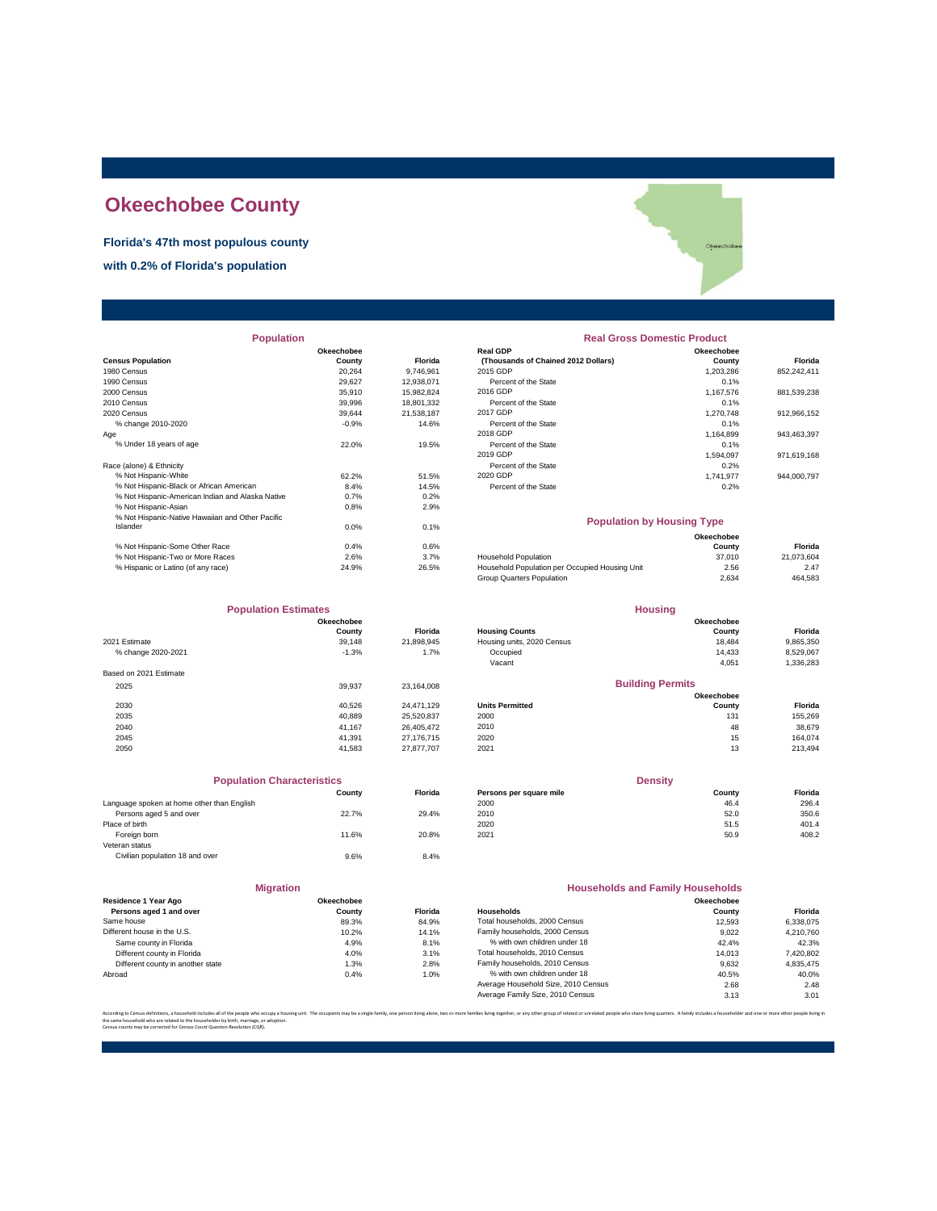## **Okeechobee County**

#### **Florida's 47th most populous county**

**with 0.2% of Florida's population**

| <b>Population</b>                                |            |            | <b>Real Gross Domestic Product</b>             |            |             |  |
|--------------------------------------------------|------------|------------|------------------------------------------------|------------|-------------|--|
|                                                  | Okeechobee |            | <b>Real GDP</b>                                | Okeechobee |             |  |
| <b>Census Population</b>                         | County     | Florida    | (Thousands of Chained 2012 Dollars)            | County     | Florida     |  |
| 1980 Census                                      | 20.264     | 9,746,961  | 2015 GDP                                       | 1,203,286  | 852,242,411 |  |
| 1990 Census                                      | 29.627     | 12,938,071 | Percent of the State                           | 0.1%       |             |  |
| 2000 Census                                      | 35,910     | 15,982,824 | 2016 GDP                                       | 1,167,576  | 881,539,238 |  |
| 2010 Census                                      | 39,996     | 18,801,332 | Percent of the State                           | 0.1%       |             |  |
| 2020 Census                                      | 39,644     | 21,538,187 | 2017 GDP                                       | 1,270,748  | 912,966,152 |  |
| % change 2010-2020                               | $-0.9%$    | 14.6%      | Percent of the State                           | 0.1%       |             |  |
| Age                                              |            |            | 2018 GDP                                       | 1,164,899  | 943,463,397 |  |
| % Under 18 years of age                          | 22.0%      | 19.5%      | Percent of the State                           | 0.1%       |             |  |
|                                                  |            |            | 2019 GDP                                       | 1,594,097  | 971,619,168 |  |
| Race (alone) & Ethnicity                         |            |            | Percent of the State                           | 0.2%       |             |  |
| % Not Hispanic-White                             | 62.2%      | 51.5%      | 2020 GDP                                       | 1,741,977  | 944,000,797 |  |
| % Not Hispanic-Black or African American         | 8.4%       | 14.5%      | Percent of the State                           | 0.2%       |             |  |
| % Not Hispanic-American Indian and Alaska Native | 0.7%       | 0.2%       |                                                |            |             |  |
| % Not Hispanic-Asian                             | 0.8%       | 2.9%       |                                                |            |             |  |
| % Not Hispanic-Native Hawaiian and Other Pacific |            |            | <b>Population by Housing Type</b>              |            |             |  |
| Islander                                         | 0.0%       | 0.1%       |                                                |            |             |  |
|                                                  |            |            |                                                | Okeechobee |             |  |
| % Not Hispanic-Some Other Race                   | 0.4%       | 0.6%       |                                                | County     | Florida     |  |
| % Not Hispanic-Two or More Races                 | 2.6%       | 3.7%       | <b>Household Population</b>                    | 37,010     | 21,073,604  |  |
| % Hispanic or Latino (of any race)               | 24.9%      | 26.5%      | Household Population per Occupied Housing Unit | 2.56       | 2.47        |  |

| <b>Population Estimates</b> |            |                | <b>Housing</b>             |                         |           |  |
|-----------------------------|------------|----------------|----------------------------|-------------------------|-----------|--|
|                             | Okeechobee |                | Okeechobee                 |                         |           |  |
|                             | County     | <b>Florida</b> | <b>Housing Counts</b>      | County                  | Florida   |  |
| 2021 Estimate               | 39.148     | 21.898.945     | Housing units, 2020 Census | 18.484                  | 9,865,350 |  |
| % change 2020-2021          | $-1.3%$    | 1.7%           | Occupied                   | 14,433                  | 8,529,067 |  |
|                             |            |                | Vacant                     | 4,051                   | 1,336,283 |  |
| Based on 2021 Estimate      |            |                |                            |                         |           |  |
| 2025                        | 39.937     | 23.164.008     |                            | <b>Building Permits</b> |           |  |
|                             |            |                |                            | Okeechobee              |           |  |
| 2030                        | 40.526     | 24.471.129     | <b>Units Permitted</b>     | County                  | Florida   |  |
| 2035                        | 40.889     | 25,520,837     | 2000                       | 131                     | 155,269   |  |
| 2040                        | 41.167     | 26.405.472     | 2010                       | 48                      | 38,679    |  |
| 2045                        | 41.391     | 27.176.715     | 2020                       | 15                      | 164,074   |  |
| 2050                        | 41,583     | 27,877,707     | 2021                       | 13                      | 213.494   |  |
|                             |            |                |                            |                         |           |  |

| <b>Population Characteristics</b>          |        |                | <b>Density</b>          |        |         |
|--------------------------------------------|--------|----------------|-------------------------|--------|---------|
|                                            | County | <b>Florida</b> | Persons per square mile | County | Florida |
| Language spoken at home other than English |        |                | 2000                    | 46.4   | 296.4   |
| Persons aged 5 and over                    | 22.7%  | 29.4%          | 2010                    | 52.0   | 350.6   |
| Place of birth                             |        |                | 2020                    | 51.5   | 401.4   |
| Foreign born                               | 11.6%  | 20.8%          | 2021                    | 50.9   | 408.2   |
| Veteran status                             |        |                |                         |        |         |
| Civilian population 18 and over            | 9.6%   | 8.4%           |                         |        |         |

|                                                 | <b>Migration</b>     |                |                     |
|-------------------------------------------------|----------------------|----------------|---------------------|
| Residence 1 Year Ago<br>Persons aged 1 and over | Okeechobee<br>County | <b>Florida</b> | Households          |
| Same house                                      | 89.3%                | 84.9%          | <b>Total houser</b> |
| Different house in the U.S.                     | 10.2%                | 14.1%          | Family house        |
| Same county in Florida                          | 4.9%                 | 8.1%           | % with ov           |
| Different county in Florida                     | 4.0%                 | 3.1%           | <b>Total houser</b> |
| Different county in another state               | 1.3%                 | 2.8%           | Family house        |
| Abroad                                          | 0.4%                 | 1.0%           | % with ov           |
|                                                 |                      |                | Average Hou         |

# Okeechobe

#### **Real Gross Domestic Product**

|                                          | Okeechobee |                | <b>Real GDP</b>                     | Okeechobee |             |
|------------------------------------------|------------|----------------|-------------------------------------|------------|-------------|
| sus Population                           | County     | <b>Florida</b> | (Thousands of Chained 2012 Dollars) | County     | Florida     |
| 0 Census                                 | 20.264     | 9.746.961      | 2015 GDP                            | 1.203.286  | 852.242.411 |
| 0 Census                                 | 29.627     | 12.938.071     | Percent of the State                | 0.1%       |             |
| 0 Census                                 | 35,910     | 15.982.824     | 2016 GDP                            | 1.167.576  | 881.539.238 |
| 0 Census                                 | 39,996     | 18,801,332     | Percent of the State                | 0.1%       |             |
| 0 Census                                 | 39.644     | 21.538.187     | 2017 GDP                            | 1.270.748  | 912.966.152 |
| % change 2010-2020                       | $-0.9%$    | 14.6%          | Percent of the State                | 0.1%       |             |
|                                          |            |                | 2018 GDP                            | 1.164.899  | 943.463.397 |
| % Under 18 years of age                  | 22.0%      | 19.5%          | Percent of the State                | 0.1%       |             |
|                                          |            |                | 2019 GDP                            | 1.594.097  | 971.619.168 |
| e (alone) & Ethnicity                    |            |                | Percent of the State                | 0.2%       |             |
| % Not Hispanic-White                     | 62.2%      | 51.5%          | 2020 GDP                            | 1.741.977  | 944.000.797 |
| % Not Hispanic-Black or African American | 8.4%       | 14.5%          | Percent of the State                | 0.2%       |             |
|                                          |            |                |                                     |            |             |

#### **Population by Housing Type**

|                                    |       |       |                                                | Okeechobee |            |
|------------------------------------|-------|-------|------------------------------------------------|------------|------------|
| % Not Hispanic-Some Other Race     | 0.4%  | 0.6%  |                                                | County     | Florida    |
| % Not Hispanic-Two or More Races   | 2.6%  | 3.7%  | <b>Household Population</b>                    | 37,010     | 21.073.604 |
| % Hispanic or Latino (of any race) | 24.9% | 26.5% | Household Population per Occupied Housing Unit | 2.56       | 2.47       |
|                                    |       |       | Group Quarters Population                      | 2.634      | 464.583    |

| <b>Population Estimates</b>                                                                                                                                                                                                                                                                                                        |            |                | <b>Housing</b>             |            |           |
|------------------------------------------------------------------------------------------------------------------------------------------------------------------------------------------------------------------------------------------------------------------------------------------------------------------------------------|------------|----------------|----------------------------|------------|-----------|
|                                                                                                                                                                                                                                                                                                                                    | Okeechobee |                |                            | Okeechobee |           |
|                                                                                                                                                                                                                                                                                                                                    | County     | <b>Florida</b> | <b>Housing Counts</b>      | County     | Florida   |
| 1 Estimate                                                                                                                                                                                                                                                                                                                         | 39.148     | 21.898.945     | Housing units, 2020 Census | 18.484     | 9.865.350 |
| % change 2020-2021                                                                                                                                                                                                                                                                                                                 | $-1.3%$    | 1.7%           | Occupied                   | 14.433     | 8.529.067 |
|                                                                                                                                                                                                                                                                                                                                    |            |                | Vacant                     | 4,051      | 1.336.283 |
| $\mathbf{1}$ $\mathbf{1}$ $\mathbf{1}$ $\mathbf{1}$ $\mathbf{1}$ $\mathbf{1}$ $\mathbf{1}$ $\mathbf{1}$ $\mathbf{1}$ $\mathbf{1}$ $\mathbf{1}$ $\mathbf{1}$ $\mathbf{1}$ $\mathbf{1}$ $\mathbf{1}$ $\mathbf{1}$ $\mathbf{1}$ $\mathbf{1}$ $\mathbf{1}$ $\mathbf{1}$ $\mathbf{1}$ $\mathbf{1}$ $\mathbf{1}$ $\mathbf{1}$ $\mathbf{$ |            |                |                            |            |           |

#### **Building Permits**

|         | Okeechobee |                        |            |        |      |
|---------|------------|------------------------|------------|--------|------|
| Florida | County     | <b>Units Permitted</b> | 24.471.129 | 40.526 | 2030 |
| 155.269 | 131        | 2000                   | 25.520.837 | 40.889 | 2035 |
| 38.679  | 48         | 2010                   | 26.405.472 | 41.167 | 2040 |
| 164.074 | 15         | 2020                   | 27,176,715 | 41.391 | 2045 |
| 213,494 | 13         | 2021                   | 27.877.707 | 41.583 | 2050 |
|         |            |                        |            |        |      |

| <b>Population Characteristics</b>       |        |                | <b>Density</b>          |        |         |
|-----------------------------------------|--------|----------------|-------------------------|--------|---------|
|                                         | County | <b>Florida</b> | Persons per square mile | Countv | Florida |
| quage spoken at home other than English |        |                | 2000                    | 46.4   | 296.4   |
| Persons aged 5 and over                 | 22.7%  | 29.4%          | 2010                    | 52.0   | 350.6   |
| e of birth                              |        |                | 2020                    | 51.5   | 401.4   |
| Foreign born                            | 11.6%  | 20.8%          | 2021                    | 50.9   | 408.2   |
| seno ototuo.                            |        |                |                         |        |         |

| <b>Migration</b>                  |            | <b>Households and Family Households</b> |                                     |            |           |
|-----------------------------------|------------|-----------------------------------------|-------------------------------------|------------|-----------|
| Residence 1 Year Ago              | Okeechobee |                                         |                                     | Okeechobee |           |
| Persons aged 1 and over           | County     | <b>Florida</b>                          | Households                          | County     | Florida   |
| Same house                        | 89.3%      | 84.9%                                   | Total households, 2000 Census       | 12.593     | 6,338,075 |
| Different house in the U.S.       | 10.2%      | 14.1%                                   | Family households, 2000 Census      | 9.022      | 4.210.760 |
| Same county in Florida            | 4.9%       | 8.1%                                    | % with own children under 18        | 42.4%      | 42.3%     |
| Different county in Florida       | 4.0%       | 3.1%                                    | Total households, 2010 Census       | 14.013     | 7,420,802 |
| Different county in another state | 1.3%       | 2.8%                                    | Family households, 2010 Census      | 9.632      | 4,835,475 |
| Abroad                            | 0.4%       | 1.0%                                    | % with own children under 18        | 40.5%      | 40.0%     |
|                                   |            |                                         | Average Household Size, 2010 Census | 2.68       | 2.48      |
|                                   |            |                                         | Average Family Size, 2010 Census    | 3.13       | 3.01      |
|                                   |            |                                         |                                     |            |           |

According to Census definitions, a household includes all of the people who occupy a housing unit. The occupants may be a single family, one person living back, two or more families living together, or any other group of r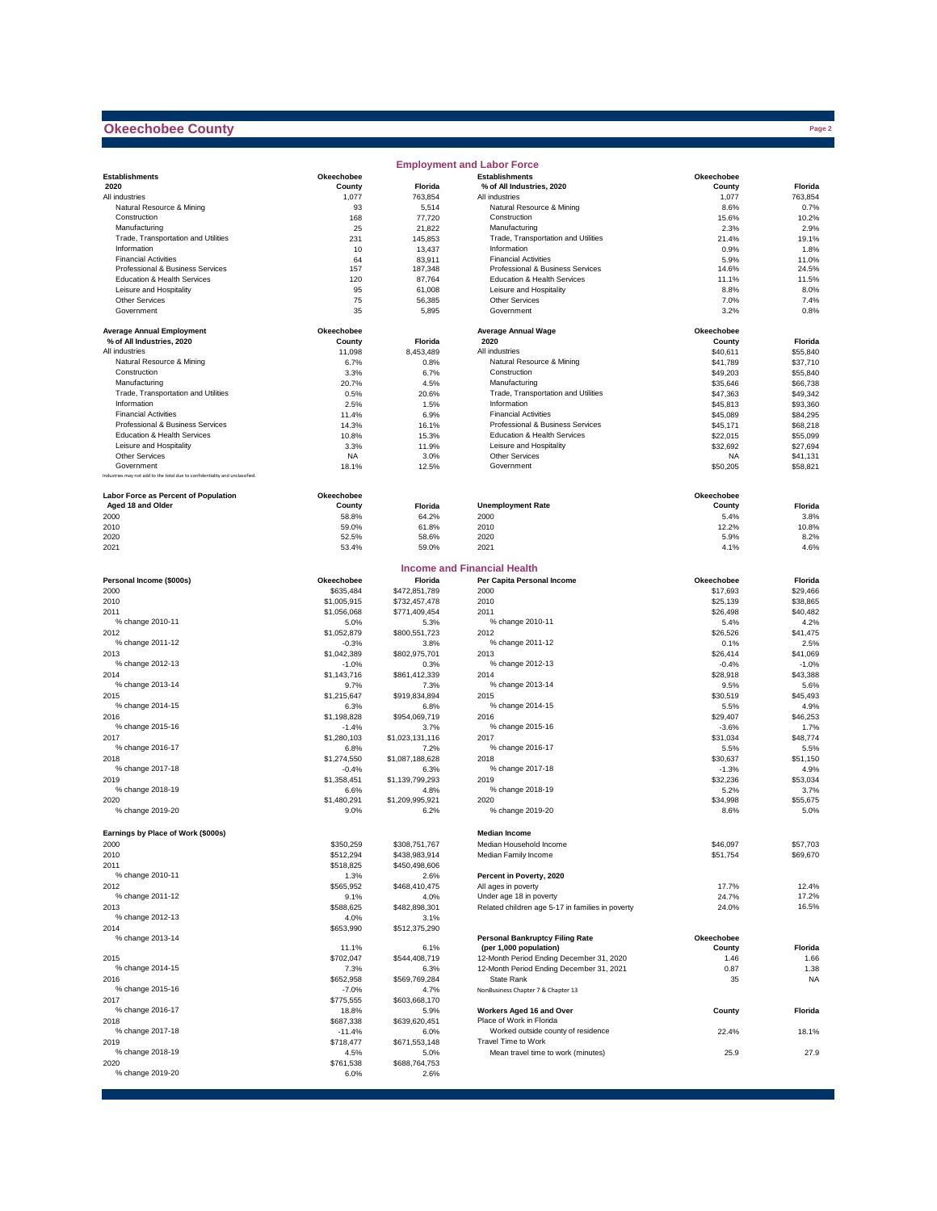### **Okeechobee County**

|                                                                              |                   |                       | <b>Employment and Labor Force</b>                               |                       |                      |
|------------------------------------------------------------------------------|-------------------|-----------------------|-----------------------------------------------------------------|-----------------------|----------------------|
| <b>Establishments</b>                                                        | Okeechobee        |                       | <b>Establishments</b>                                           | Okeechobee            |                      |
| 2020                                                                         | County            | Florida               | % of All Industries, 2020                                       | County                | Florida              |
| All industries                                                               | 1,077             | 763.854               | All industries                                                  | 1,077                 | 763,854              |
| Natural Resource & Mining                                                    | 93                | 5,514                 | Natural Resource & Mining                                       | 8.6%                  | 0.7%                 |
| Construction                                                                 | 168               | 77,720                | Construction                                                    | 15.6%                 | 10.2%                |
| Manufacturing                                                                | 25                | 21,822                | Manufacturing                                                   | 2.3%                  | 2.9%                 |
| Trade, Transportation and Utilities                                          | 231               | 145,853               | Trade, Transportation and Utilities                             | 21.4%                 | 19.1%                |
| Information                                                                  | 10                | 13,437                | Information                                                     | 0.9%                  | 1.8%                 |
| <b>Financial Activities</b><br>Professional & Business Services              | 64                | 83,911                | <b>Financial Activities</b><br>Professional & Business Services | 5.9%                  | 11.0%                |
| Education & Health Services                                                  | 157<br>120        | 187,348               | Education & Health Services                                     | 14.6%                 | 24.5%                |
| Leisure and Hospitality                                                      |                   | 87,764                | Leisure and Hospitality                                         | 11.1%                 | 11.5%                |
| <b>Other Services</b>                                                        | 95<br>75          | 61,008<br>56,385      | <b>Other Services</b>                                           | 8.8%<br>7.0%          | 8.0%<br>7.4%         |
| Government                                                                   | 35                | 5,895                 | Government                                                      | 3.2%                  | 0.8%                 |
| <b>Average Annual Employment</b>                                             | Okeechobee        |                       | <b>Average Annual Wage</b>                                      | Okeechobee            |                      |
| % of All Industries, 2020                                                    | County            | Florida               | 2020                                                            | County                | Florida              |
| All industries                                                               | 11,098            | 8,453,489             | All industries                                                  | \$40,611              | \$55,840             |
| Natural Resource & Mining                                                    | 6.7%              | 0.8%                  | Natural Resource & Mining                                       | \$41,789              | \$37,710             |
| Construction                                                                 | 3.3%              | 6.7%                  | Construction                                                    | \$49,203              | \$55,840             |
| Manufacturing                                                                | 20.7%             | 4.5%                  | Manufacturing                                                   | \$35,646              | \$66,738             |
| Trade, Transportation and Utilities                                          | 0.5%              | 20.6%                 | Trade, Transportation and Utilities                             | \$47,363              | \$49,342             |
| Information                                                                  | 2.5%              | 1.5%                  | Information                                                     | \$45,813              | \$93,360             |
| <b>Financial Activities</b>                                                  | 11.4%             | 6.9%                  | <b>Financial Activities</b>                                     | \$45,089              | \$84,295             |
| Professional & Business Services<br>Education & Health Services              | 14.3%             | 16.1%                 | Professional & Business Services<br>Education & Health Services | \$45,171              | \$68,218             |
|                                                                              | 10.8%             | 15.3%                 |                                                                 | \$22,015              | \$55,099             |
| Leisure and Hospitality<br><b>Other Services</b>                             | 3.3%<br><b>NA</b> | 11.9%<br>3.0%         | Leisure and Hospitality<br>Other Services                       | \$32,692<br><b>NA</b> | \$27,694<br>\$41,131 |
| Government                                                                   | 18.1%             | 12.5%                 | Government                                                      | \$50,205              | \$58,821             |
| Industries may not add to the total due to confidentiality and unclassified. |                   |                       |                                                                 |                       |                      |
| Labor Force as Percent of Population                                         | Okeechobee        |                       |                                                                 | Okeechobee            |                      |
| Aged 18 and Older                                                            | County            | Florida               | <b>Unemployment Rate</b>                                        | County                | Florida              |
| 2000                                                                         | 58.8%             | 64.2%                 | 2000                                                            | 5.4%                  | 3.8%                 |
| 2010                                                                         | 59.0%             | 61.8%                 | 2010                                                            | 12.2%                 | 10.8%                |
| 2020                                                                         | 52.5%             | 58.6%                 | 2020                                                            | 5.9%                  | 8.2%                 |
| 2021                                                                         | 53.4%             | 59.0%                 | 2021                                                            | 4.1%                  | 4.6%                 |
|                                                                              |                   |                       | <b>Income and Financial Health</b>                              |                       |                      |
| Personal Income (\$000s)                                                     | Okeechobee        | Florida               | Per Capita Personal Income                                      | Okeechobee            | Florida              |
| 2000                                                                         | \$635.484         | \$472,851,789         | 2000                                                            | \$17,693              | \$29,466             |
| 2010                                                                         | \$1,005,915       | \$732,457,478         | 2010                                                            | \$25,139              | \$38,865             |
| 2011                                                                         | \$1,056,068       | \$771,409,454         | 2011                                                            | \$26,498              | \$40,482             |
| % change 2010-11                                                             | 5.0%              | 5.3%                  | % change 2010-11                                                | 5.4%                  | 4.2%                 |
| 2012                                                                         | \$1,052,879       | \$800,551,723         | 2012                                                            | \$26,526              | \$41.475             |
| % change 2011-12                                                             | $-0.3%$           | 3.8%                  | % change 2011-12                                                | 0.1%                  | 2.5%                 |
| 2013                                                                         | \$1,042,389       | \$802,975,701         | 2013                                                            | \$26,414              | \$41,069             |
| % change 2012-13                                                             | $-1.0%$           | 0.3%                  | % change 2012-13                                                | $-0.4%$               | $-1.0%$              |
| 2014                                                                         | \$1,143,716       | \$861,412,339         | 2014                                                            | \$28,918              | \$43,388             |
| % change 2013-14                                                             | 9.7%              | 7.3%                  | % change 2013-14                                                | 9.5%                  | 5.6%                 |
| 2015                                                                         | \$1,215,647       | \$919,834,894         | 2015                                                            | \$30,519              | \$45,493             |
| % change 2014-15                                                             | 6.3%              | 6.8%                  | % change 2014-15                                                | 5.5%                  | 4.9%                 |
| 2016                                                                         | \$1,198,828       | \$954,069,719         | 2016                                                            | \$29,407              | \$46,253             |
| % change 2015-16                                                             | $-1.4%$           | 3.7%                  | % change 2015-16                                                | $-3.6%$               | 1.7%                 |
| 2017                                                                         | \$1,280,103       | \$1,023,131,116       | 2017                                                            | \$31,034              | \$48,774             |
| % change 2016-17                                                             | 6.8%              | 7.2%                  | % change 2016-17                                                | 5.5%                  | 5.5%                 |
| 2018                                                                         | \$1.274.550       | \$1,087,188,628       | 2018                                                            | \$30,637              | \$51,150             |
| % change 2017-18                                                             | $-0.4%$           | 6.3%                  | % change 2017-18                                                | $-1.3%$               | 4.9%                 |
| 2019                                                                         | \$1,358,451       | \$1,139,799,293       | 2019                                                            | \$32,236              | \$53,034             |
| % change 2018-19                                                             | 6.6%              | 4.8%                  | % change 2018-19                                                | 5.2%                  | 3.7%                 |
| 2020                                                                         | \$1,480,291       | \$1,209,995,921       | 2020<br>% change 2019-20                                        | \$34,998              | \$55,675             |
| % change 2019-20                                                             | 9.0%              | 6.2%                  |                                                                 | 8.6%                  | 5.0%                 |
| Earnings by Place of Work (\$000s)                                           |                   |                       | <b>Median Income</b>                                            |                       |                      |
| 2000                                                                         | \$350,259         | \$308,751,767         | Median Household Income                                         | \$46,097              | \$57,703             |
| 2010                                                                         | \$512,294         | \$438,983,914         | Median Family Income                                            | \$51,754              | \$69,670             |
| 2011<br>% change 2010-11                                                     | \$518,825         | \$450,498,606         |                                                                 |                       |                      |
|                                                                              | 1.3%              | 2.6%                  | Percent in Poverty, 2020                                        |                       |                      |
| 2012                                                                         | \$565,952         | \$468,410,475         | All ages in poverty<br>Under age 18 in poverty                  | 17.7%                 | 12.4%<br>17.2%       |
| % change 2011-12<br>2013                                                     | 9.1%              | 4.0%                  | Related children age 5-17 in families in poverty                | 24.7%                 |                      |
| % change 2012-13                                                             | \$588,625         | \$482,898,301         |                                                                 | 24.0%                 | 16.5%                |
| 2014                                                                         | 4.0%<br>\$653,990 | 3.1%<br>\$512,375,290 |                                                                 |                       |                      |
| % change 2013-14                                                             |                   |                       | <b>Personal Bankruptcy Filing Rate</b>                          | <b>Okeechobee</b>     |                      |
|                                                                              | 11.1%             | 6.1%                  | (per 1,000 population)                                          | County                | Florida              |
| 2015                                                                         | \$702,047         | \$544,408,719         | 12-Month Period Ending December 31, 2020                        | 1.46                  | 1.66                 |
| % change 2014-15                                                             | 7.3%              | 6.3%                  | 12-Month Period Ending December 31, 2021                        | 0.87                  | 1.38                 |
| 2016                                                                         | \$652,958         | \$569,769,284         | State Rank                                                      | 35                    | <b>NA</b>            |
| % change 2015-16                                                             | $-7.0%$           | 4.7%                  | NonBusiness Chapter 7 & Chapter 13                              |                       |                      |
| 2017                                                                         | \$775,555         | \$603,668,170         |                                                                 |                       |                      |
| % change 2016-17                                                             | 18.8%             | 5.9%                  | Workers Aged 16 and Over                                        | County                | Florida              |
| 2018                                                                         | \$687,338         | \$639,620,451         | Place of Work in Florida                                        |                       |                      |
| % change 2017-18                                                             | $-11.4%$          | 6.0%                  | Worked outside county of residence                              | 22.4%                 | 18.1%                |
| 2019                                                                         | \$718,477         | \$671,553,148         | Travel Time to Work                                             |                       |                      |
| % change 2018-19                                                             | 4.5%              | 5.0%                  | Mean travel time to work (minutes)                              | 25.9                  | 27.9                 |
| 2020                                                                         | \$761,538         | \$688,764,753         |                                                                 |                       |                      |
| % change 2019-20                                                             | 6.0%              | 2.6%                  |                                                                 |                       |                      |